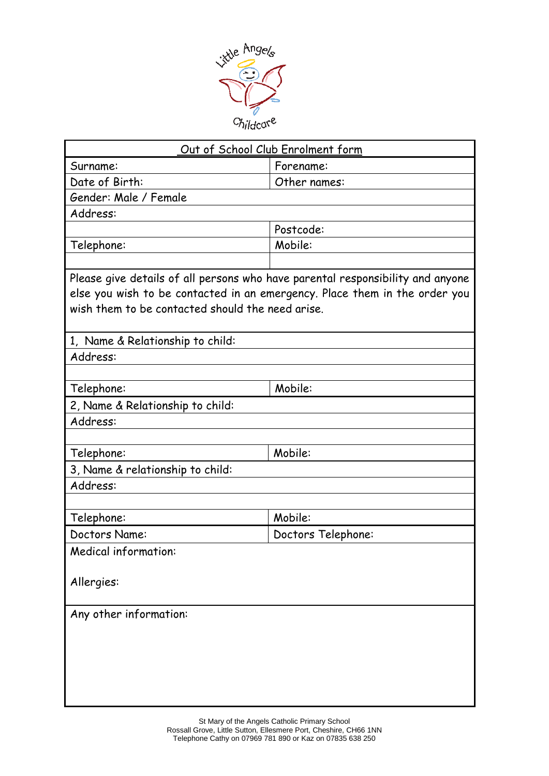

| Out of School Club Enrolment form                                                                                                                                                                                |                    |  |  |  |
|------------------------------------------------------------------------------------------------------------------------------------------------------------------------------------------------------------------|--------------------|--|--|--|
| Surname:                                                                                                                                                                                                         | Forename:          |  |  |  |
| Date of Birth:                                                                                                                                                                                                   | Other names:       |  |  |  |
| Gender: Male / Female                                                                                                                                                                                            |                    |  |  |  |
| Address:                                                                                                                                                                                                         |                    |  |  |  |
|                                                                                                                                                                                                                  | Postcode:          |  |  |  |
| Telephone:                                                                                                                                                                                                       | Mobile:            |  |  |  |
|                                                                                                                                                                                                                  |                    |  |  |  |
| Please give details of all persons who have parental responsibility and anyone<br>else you wish to be contacted in an emergency. Place them in the order you<br>wish them to be contacted should the need arise. |                    |  |  |  |
| 1, Name & Relationship to child:                                                                                                                                                                                 |                    |  |  |  |
| Address:                                                                                                                                                                                                         |                    |  |  |  |
|                                                                                                                                                                                                                  |                    |  |  |  |
| Telephone:                                                                                                                                                                                                       | Mobile:            |  |  |  |
| 2, Name & Relationship to child:                                                                                                                                                                                 |                    |  |  |  |
| Address:                                                                                                                                                                                                         |                    |  |  |  |
|                                                                                                                                                                                                                  |                    |  |  |  |
| Telephone:                                                                                                                                                                                                       | Mobile:            |  |  |  |
| 3, Name & relationship to child:                                                                                                                                                                                 |                    |  |  |  |
| Address:                                                                                                                                                                                                         |                    |  |  |  |
|                                                                                                                                                                                                                  |                    |  |  |  |
| Telephone:                                                                                                                                                                                                       | Mobile:            |  |  |  |
| Doctors Name:                                                                                                                                                                                                    | Doctors Telephone: |  |  |  |
| Medical information:                                                                                                                                                                                             |                    |  |  |  |
| Allergies:                                                                                                                                                                                                       |                    |  |  |  |
| Any other information:                                                                                                                                                                                           |                    |  |  |  |
|                                                                                                                                                                                                                  |                    |  |  |  |
|                                                                                                                                                                                                                  |                    |  |  |  |
|                                                                                                                                                                                                                  |                    |  |  |  |
|                                                                                                                                                                                                                  |                    |  |  |  |
|                                                                                                                                                                                                                  |                    |  |  |  |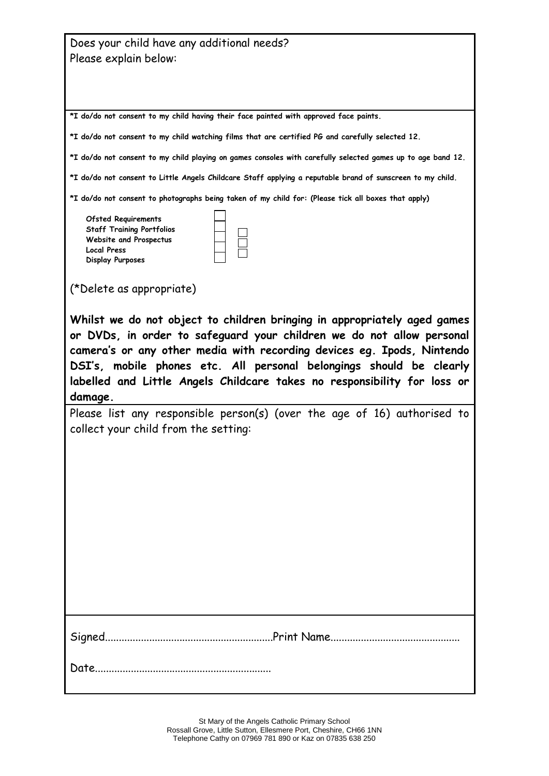| Does your child have any additional needs?                                                                  |  |  |
|-------------------------------------------------------------------------------------------------------------|--|--|
| Please explain below:                                                                                       |  |  |
|                                                                                                             |  |  |
|                                                                                                             |  |  |
| *I do/do not consent to my child having their face painted with approved face paints.                       |  |  |
| *I do/do not consent to my child watching films that are certified PG and carefully selected 12.            |  |  |
| *I do/do not consent to my child playing on games consoles with carefully selected games up to age band 12. |  |  |
| *I do/do not consent to Little Angels Childcare Staff applying a reputable brand of sunscreen to my child.  |  |  |
| *I do/do not consent to photographs being taken of my child for: (Please tick all boxes that apply)         |  |  |
| <b>Ofsted Requirements</b>                                                                                  |  |  |
| <b>Staff Training Portfolios</b><br>Website and Prospectus                                                  |  |  |
| <b>Local Press</b>                                                                                          |  |  |
| <b>Display Purposes</b>                                                                                     |  |  |
| (*Delete as appropriate)                                                                                    |  |  |
|                                                                                                             |  |  |
| Whilst we do not object to children bringing in appropriately aged games                                    |  |  |
| or DVDs, in order to safeguard your children we do not allow personal                                       |  |  |
| camera's or any other media with recording devices eg. Ipods, Nintendo                                      |  |  |
|                                                                                                             |  |  |
| DSI's, mobile phones etc. All personal belongings should be clearly                                         |  |  |
| labelled and Little Angels Childcare takes no responsibility for loss or                                    |  |  |
| damage.                                                                                                     |  |  |
| Please list any responsible person(s) (over the age of 16) authorised to                                    |  |  |
| collect your child from the setting:                                                                        |  |  |
|                                                                                                             |  |  |
|                                                                                                             |  |  |
|                                                                                                             |  |  |
|                                                                                                             |  |  |
|                                                                                                             |  |  |
|                                                                                                             |  |  |
|                                                                                                             |  |  |
|                                                                                                             |  |  |
|                                                                                                             |  |  |
|                                                                                                             |  |  |
|                                                                                                             |  |  |
|                                                                                                             |  |  |
|                                                                                                             |  |  |
|                                                                                                             |  |  |
| Date.                                                                                                       |  |  |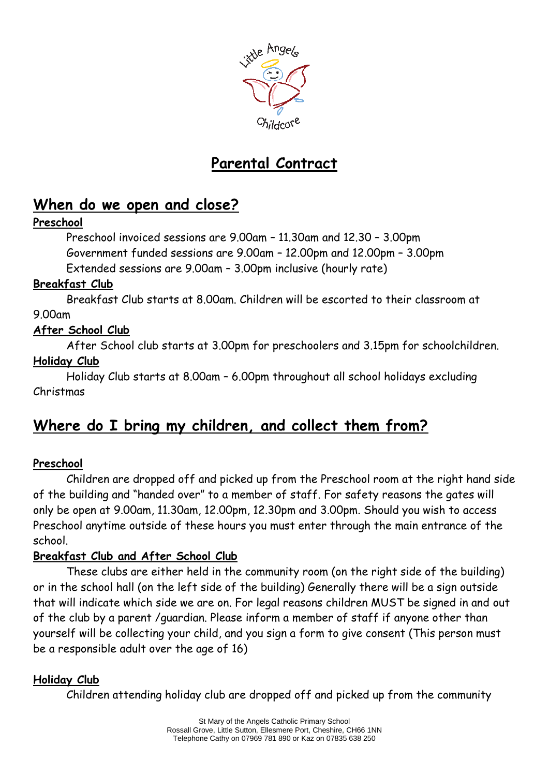

# **Parental Contract**

### **When do we open and close?**

### **Preschool**

Preschool invoiced sessions are 9.00am – 11.30am and 12.30 – 3.00pm Government funded sessions are 9.00am – 12.00pm and 12.00pm – 3.00pm Extended sessions are 9.00am – 3.00pm inclusive (hourly rate)

### **Breakfast Club**

Breakfast Club starts at 8.00am. Children will be escorted to their classroom at 9.00am

### **After School Club**

After School club starts at 3.00pm for preschoolers and 3.15pm for schoolchildren. **Holiday Club**

Holiday Club starts at 8.00am – 6.00pm throughout all school holidays excluding Christmas

## **Where do I bring my children, and collect them from?**

### **Preschool**

Children are dropped off and picked up from the Preschool room at the right hand side of the building and "handed over" to a member of staff. For safety reasons the gates will only be open at 9.00am, 11.30am, 12.00pm, 12.30pm and 3.00pm. Should you wish to access Preschool anytime outside of these hours you must enter through the main entrance of the school.

### **Breakfast Club and After School Club**

These clubs are either held in the community room (on the right side of the building) or in the school hall (on the left side of the building) Generally there will be a sign outside that will indicate which side we are on. For legal reasons children MUST be signed in and out of the club by a parent /guardian. Please inform a member of staff if anyone other than yourself will be collecting your child, and you sign a form to give consent (This person must be a responsible adult over the age of 16)

### **Holiday Club**

Children attending holiday club are dropped off and picked up from the community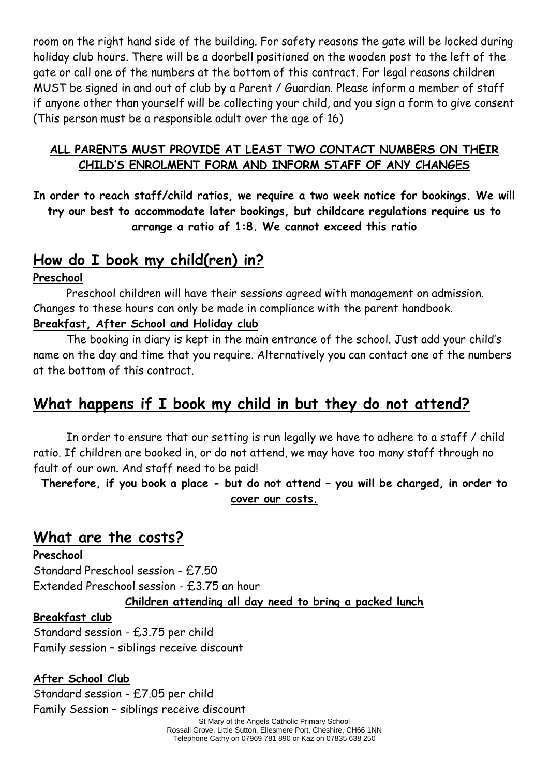room on the right hand side of the building. For safety reasons the gate will be locked during holiday club hours. There will be a doorbell positioned on the wooden post to the left of the gate or call one of the numbers at the bottom of this contract. For legal reasons children MUST be signed in and out of club by a Parent / Guardian. Please inform a member of staff if anyone other than yourself will be collecting your child, and you sign a form to give consent (This person must be a responsible adult over the age of 16)

### **ALL PARENTS MUST PROVIDE AT LEAST TWO CONTACT NUMBERS ON THEIR CHILD'S ENROLMENT FORM AND INFORM STAFF OF ANY CHANGES**

**In order to reach staff/child ratios, we require a two week notice for bookings. We will try our best to accommodate later bookings, but childcare regulations require us to arrange a ratio of 1:8. We cannot exceed this ratio**

### **How do I book my child(ren) in?**

### **Preschool**

Preschool children will have their sessions agreed with management on admission. Changes to these hours can only be made in compliance with the parent handbook.

### **Breakfast, After School and Holiday club**

The booking in diary is kept in the main entrance of the school. Just add your child's name on the day and time that you require. Alternatively you can contact one of the numbers at the bottom of this contract.

### **What happens if I book my child in but they do not attend?**

In order to ensure that our setting is run legally we have to adhere to a staff / child ratio. If children are booked in, or do not attend, we may have too many staff through no fault of our own. And staff need to be paid!

**Therefore, if you book a place - but do not attend – you will be charged, in order to cover our costs.**

### **What are the costs?**

### **Preschool**

Standard Preschool session - £7.50 Extended Preschool session - £3.75 an hour **Children attending all day need to bring a packed lunch**

### **Breakfast club**

Standard session - £3.75 per child Family session – siblings receive discount

### **After School Club**

Standard session - £7.05 per child Family Session – siblings receive discount

St Mary of the Angels Catholic Primary School Rossall Grove, Little Sutton, Ellesmere Port, Cheshire, CH66 1NN Telephone Cathy on 07969 781 890 or Kaz on 07835 638 250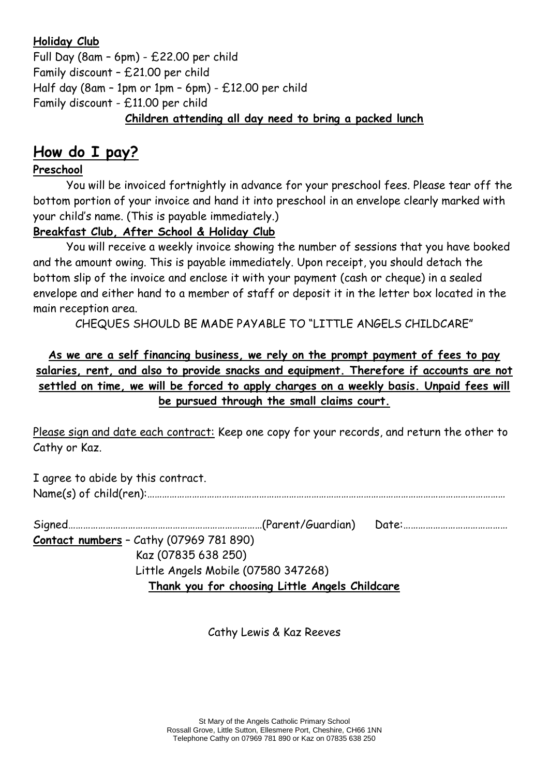#### **Holiday Club**

Full Day (8am – 6pm) - £22.00 per child Family discount – £21.00 per child Half day (8am – 1pm or 1pm – 6pm) - £12.00 per child Family discount - £11.00 per child **Children attending all day need to bring a packed lunch**

### **How do I pay?**

### **Preschool**

You will be invoiced fortnightly in advance for your preschool fees. Please tear off the bottom portion of your invoice and hand it into preschool in an envelope clearly marked with your child's name. (This is payable immediately.)

### **Breakfast Club, After School & Holiday Club**

You will receive a weekly invoice showing the number of sessions that you have booked and the amount owing. This is payable immediately. Upon receipt, you should detach the bottom slip of the invoice and enclose it with your payment (cash or cheque) in a sealed envelope and either hand to a member of staff or deposit it in the letter box located in the main reception area.

CHEQUES SHOULD BE MADE PAYABLE TO "LITTLE ANGELS CHILDCARE"

**As we are a self financing business, we rely on the prompt payment of fees to pay salaries, rent, and also to provide snacks and equipment. Therefore if accounts are not settled on time, we will be forced to apply charges on a weekly basis. Unpaid fees will be pursued through the small claims court.**

Please sign and date each contract: Keep one copy for your records, and return the other to Cathy or Kaz.

I agree to abide by this contract. Name(s) of child(ren):………………………………………………………………………………………………………………………………

| ----------------- |  |
|-------------------|--|

**Contact numbers** – Cathy (07969 781 890) Kaz (07835 638 250) Little Angels Mobile (07580 347268) **Thank you for choosing Little Angels Childcare**

Cathy Lewis & Kaz Reeves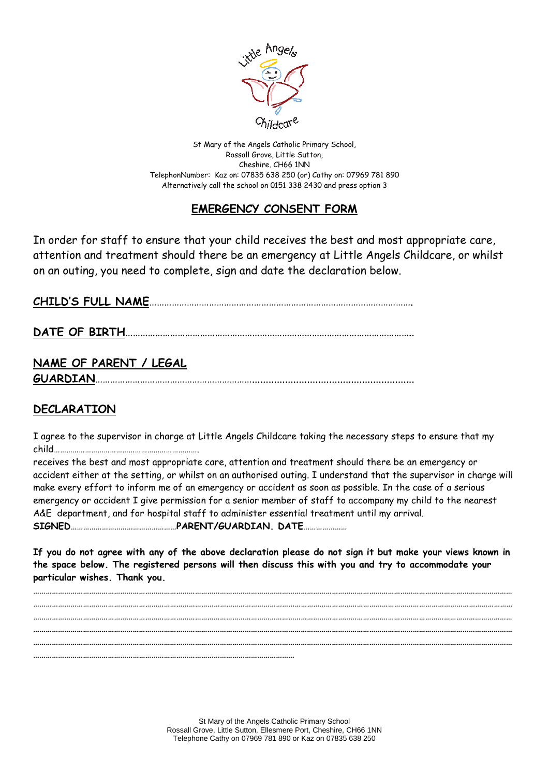

St Mary of the Angels Catholic Primary School, Rossall Grove, Little Sutton, Cheshire. CH66 1NN TelephonNumber: Kaz on: 07835 638 250 (or) Cathy on: 07969 781 890 Alternatively call the school on 0151 338 2430 and press option 3

### **EMERGENCY CONSENT FORM**

In order for staff to ensure that your child receives the best and most appropriate care, attention and treatment should there be an emergency at Little Angels Childcare, or whilst on an outing, you need to complete, sign and date the declaration below.

**CHILD'S FULL NAME**…………………………………………………………………………………………….

**DATE OF BIRTH**……………………………………………………………………………………………………..

# **NAME OF PARENT / LEGAL**

**GUARDIAN**………………………………………………………...........................................................

### **DECLARATION**

I agree to the supervisor in charge at Little Angels Childcare taking the necessary steps to ensure that my child…………………………………………………………….

receives the best and most appropriate care, attention and treatment should there be an emergency or accident either at the setting, or whilst on an authorised outing. I understand that the supervisor in charge will make every effort to inform me of an emergency or accident as soon as possible. In the case of a serious emergency or accident I give permission for a senior member of staff to accompany my child to the nearest A&E department, and for hospital staff to administer essential treatment until my arrival. **SIGNED……………………………………………PARENT/GUARDIAN. DATE…………………**

**If you do not agree with any of the above declaration please do not sign it but make your views known in the space below. The registered persons will then discuss this with you and try to accommodate your particular wishes. Thank you.**

**…………………………………………………………………………………………………………………………………………………………………………………………………………… …………………………………………………………………………………………………………………………………………………………………………………………………………… …………………………………………………………………………………………………………………………………………………………………………………………………………… …………………………………………………………………………………………………………………………………………………………………………………………………………… …………………………………………………………………………………………………………………………………………………………………………………………………………… ………………………………………………………………………………………………………………**